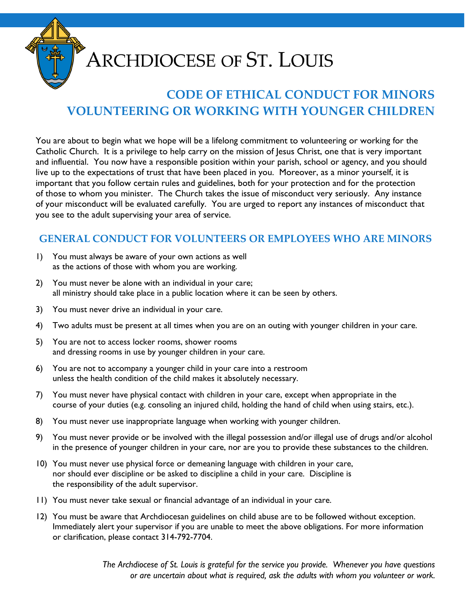

# **ARCHDIOCESE OF ST. LOUIS**

## **CODE OF ETHICAL CONDUCT FOR MINORS VOLUNTEERING OR WORKING WITH YOUNGER CHILDREN**

You are about to begin what we hope will be a lifelong commitment to volunteering or working for the Catholic Church. It is a privilege to help carry on the mission of Jesus Christ, one that is very important and influential. You now have a responsible position within your parish, school or agency, and you should live up to the expectations of trust that have been placed in you. Moreover, as a minor yourself, it is important that you follow certain rules and guidelines, both for your protection and for the protection of those to whom you minister. The Church takes the issue of misconduct very seriously. Any instance of your misconduct will be evaluated carefully. You are urged to report any instances of misconduct that you see to the adult supervising your area of service.

#### **GENERAL CONDUCT FOR VOLUNTEERS OR EMPLOYEES WHO ARE MINORS**

- 1) You must always be aware of your own actions as well as the actions of those with whom you are working.
- 2) You must never be alone with an individual in your care; all ministry should take place in a public location where it can be seen by others.
- 3) You must never drive an individual in your care.
- 4) Two adults must be present at all times when you are on an outing with younger children in your care.
- 5) You are not to access locker rooms, shower rooms and dressing rooms in use by younger children in your care.
- 6) You are not to accompany a younger child in your care into a restroom unless the health condition of the child makes it absolutely necessary.
- 7) You must never have physical contact with children in your care, except when appropriate in the course of your duties (e.g. consoling an injured child, holding the hand of child when using stairs, etc.).
- 8) You must never use inappropriate language when working with younger children.
- 9) You must never provide or be involved with the illegal possession and/or illegal use of drugs and/or alcohol in the presence of younger children in your care, nor are you to provide these substances to the children.
- 10) You must never use physical force or demeaning language with children in your care, nor should ever discipline or be asked to discipline a child in your care. Discipline is the responsibility of the adult supervisor.
- 11) You must never take sexual or financial advantage of an individual in your care.
- 12) You must be aware that Archdiocesan guidelines on child abuse are to be followed without exception. Immediately alert your supervisor if you are unable to meet the above obligations. For more information or clarification, please contact 314-792-7704.

*The Archdiocese of St. Louis is grateful for the service you provide. Whenever you have questions or are uncertain about what is required, ask the adults with whom you volunteer or work.*